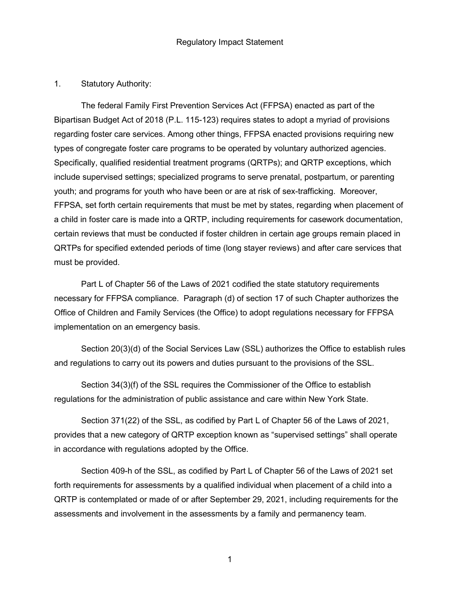### 1. Statutory Authority:

The federal Family First Prevention Services Act (FFPSA) enacted as part of the Bipartisan Budget Act of 2018 (P.L. 115-123) requires states to adopt a myriad of provisions regarding foster care services. Among other things, FFPSA enacted provisions requiring new types of congregate foster care programs to be operated by voluntary authorized agencies. Specifically, qualified residential treatment programs (QRTPs); and QRTP exceptions, which include supervised settings; specialized programs to serve prenatal, postpartum, or parenting youth; and programs for youth who have been or are at risk of sex-trafficking. Moreover, FFPSA, set forth certain requirements that must be met by states, regarding when placement of a child in foster care is made into a QRTP, including requirements for casework documentation, certain reviews that must be conducted if foster children in certain age groups remain placed in QRTPs for specified extended periods of time (long stayer reviews) and after care services that must be provided.

Part L of Chapter 56 of the Laws of 2021 codified the state statutory requirements necessary for FFPSA compliance. Paragraph (d) of section 17 of such Chapter authorizes the Office of Children and Family Services (the Office) to adopt regulations necessary for FFPSA implementation on an emergency basis.

Section 20(3)(d) of the Social Services Law (SSL) authorizes the Office to establish rules and regulations to carry out its powers and duties pursuant to the provisions of the SSL.

Section 34(3)(f) of the SSL requires the Commissioner of the Office to establish regulations for the administration of public assistance and care within New York State.

Section 371(22) of the SSL, as codified by Part L of Chapter 56 of the Laws of 2021, provides that a new category of QRTP exception known as "supervised settings" shall operate in accordance with regulations adopted by the Office.

Section 409-h of the SSL, as codified by Part L of Chapter 56 of the Laws of 2021 set forth requirements for assessments by a qualified individual when placement of a child into a QRTP is contemplated or made of or after September 29, 2021, including requirements for the assessments and involvement in the assessments by a family and permanency team.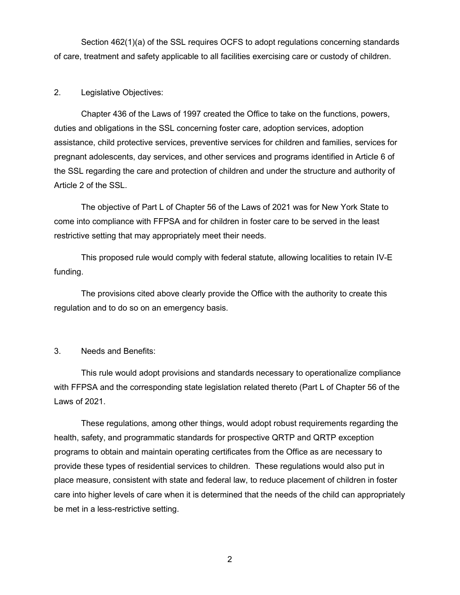Section 462(1)(a) of the SSL requires OCFS to adopt regulations concerning standards of care, treatment and safety applicable to all facilities exercising care or custody of children.

### 2. Legislative Objectives:

Chapter 436 of the Laws of 1997 created the Office to take on the functions, powers, duties and obligations in the SSL concerning foster care, adoption services, adoption assistance, child protective services, preventive services for children and families, services for pregnant adolescents, day services, and other services and programs identified in Article 6 of the SSL regarding the care and protection of children and under the structure and authority of Article 2 of the SSL.

The objective of Part L of Chapter 56 of the Laws of 2021 was for New York State to come into compliance with FFPSA and for children in foster care to be served in the least restrictive setting that may appropriately meet their needs.

This proposed rule would comply with federal statute, allowing localities to retain IV-E funding.

The provisions cited above clearly provide the Office with the authority to create this regulation and to do so on an emergency basis.

#### 3. Needs and Benefits:

This rule would adopt provisions and standards necessary to operationalize compliance with FFPSA and the corresponding state legislation related thereto (Part L of Chapter 56 of the Laws of 2021.

These regulations, among other things, would adopt robust requirements regarding the health, safety, and programmatic standards for prospective QRTP and QRTP exception programs to obtain and maintain operating certificates from the Office as are necessary to provide these types of residential services to children. These regulations would also put in place measure, consistent with state and federal law, to reduce placement of children in foster care into higher levels of care when it is determined that the needs of the child can appropriately be met in a less-restrictive setting.

2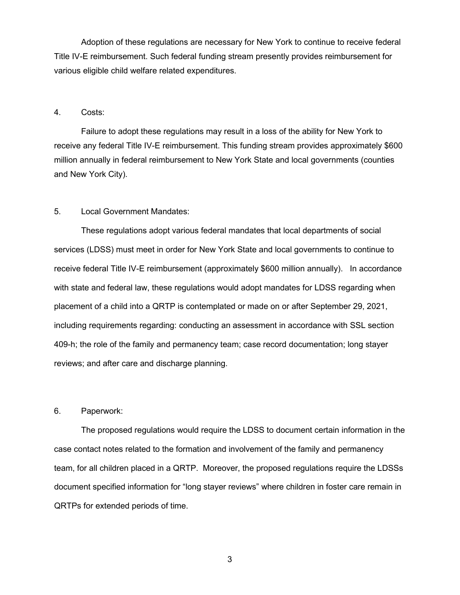Adoption of these regulations are necessary for New York to continue to receive federal Title IV-E reimbursement. Such federal funding stream presently provides reimbursement for various eligible child welfare related expenditures.

#### 4. Costs:

Failure to adopt these regulations may result in a loss of the ability for New York to receive any federal Title IV-E reimbursement. This funding stream provides approximately \$600 million annually in federal reimbursement to New York State and local governments (counties and New York City).

# 5. Local Government Mandates:

These regulations adopt various federal mandates that local departments of social services (LDSS) must meet in order for New York State and local governments to continue to receive federal Title IV-E reimbursement (approximately \$600 million annually). In accordance with state and federal law, these regulations would adopt mandates for LDSS regarding when placement of a child into a QRTP is contemplated or made on or after September 29, 2021, including requirements regarding: conducting an assessment in accordance with SSL section 409-h; the role of the family and permanency team; case record documentation; long stayer reviews; and after care and discharge planning.

### 6. Paperwork:

The proposed regulations would require the LDSS to document certain information in the case contact notes related to the formation and involvement of the family and permanency team, for all children placed in a QRTP. Moreover, the proposed regulations require the LDSSs document specified information for "long stayer reviews" where children in foster care remain in QRTPs for extended periods of time.

3